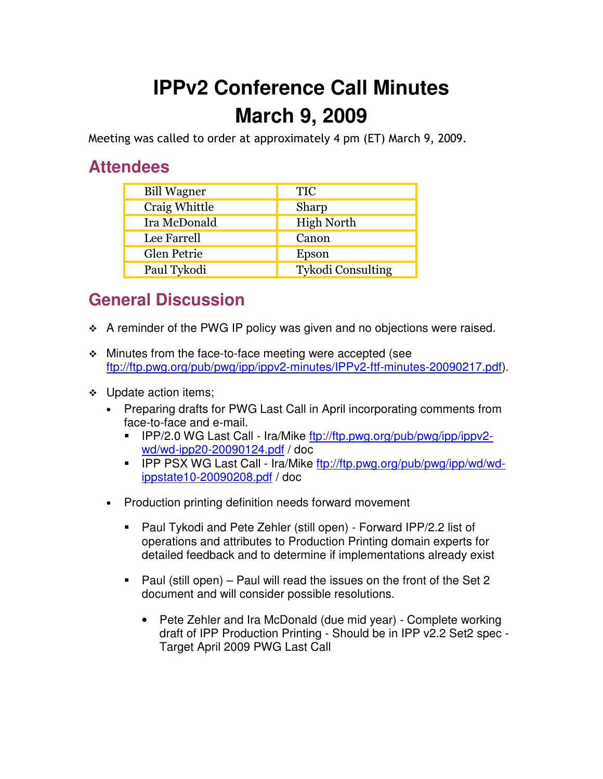## **IPPv2 Conference Call Minutes March 9, 2009**

Meeting was called to order at approximately 4 pm (ET) March 9, 2009.

## **Attendees**

| <b>Bill Wagner</b> | <b>TIC</b>        |
|--------------------|-------------------|
| Craig Whittle      | Sharp             |
| Ira McDonald       | <b>High North</b> |
| Lee Farrell        | Canon             |
| Glen Petrie        | Epson             |
| Paul Tykodi        | Tykodi Consulting |

## **General Discussion**

- \* A reminder of the PWG IP policy was given and no objections were raised.
- Minutes from the face-to-face meeting were accepted (see ftp://ftp.pwg.org/pub/pwg/ipp/ippv2-minutes/IPPv2-ftf-minutes-20090217.pdf).
- ❖ Update action items;
	- Preparing drafts for PWG Last Call in April incorporating comments from face-to-face and e-mail.
		- - IPP/2.0 WG Last Call - Ira/Mike ftp://ftp.pwg.org/pub/pwg/ipp/ippv2 wd/wd-ipp20-20090124.pdf / doc
		- **FREEX WG Last Call Ira/Mike ftp://ftp.pwg.org/pub/pwg/ipp/wd/wd**ippstate10-20090208.pdf / doc
	- Production printing definition needs forward movement
		- - Paul Tykodi and Pete Zehler (still open) - Forward IPP/2.2 list of operations and attributes to Production Printing domain experts for detailed feedback and to determine if implementations already exist
		- - Paul (still open) – Paul will read the issues on the front of the Set 2 document and will consider possible resolutions.
			- Pete Zehler and Ira McDonald (due mid year) Complete working draft of IPP Production Printing - Should be in IPP v2.2 Set2 spec -Target April 2009 PWG Last Call